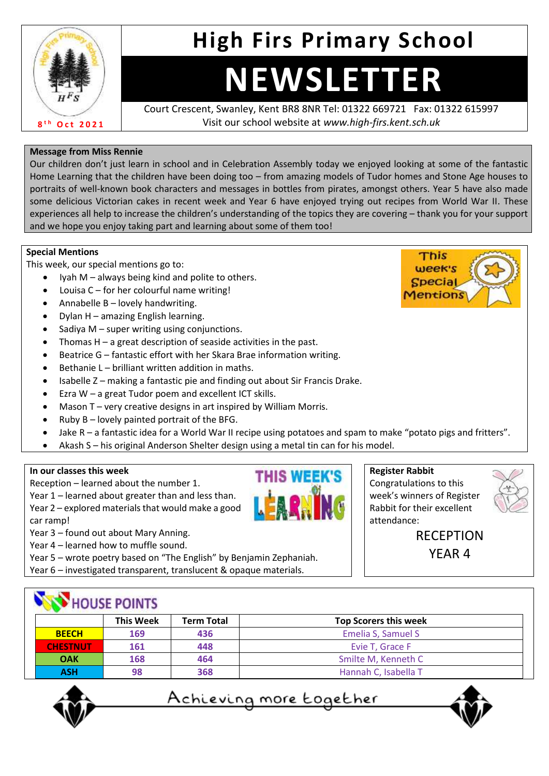

## **High Firs Primary School**

# **NEWSLETTER**

Court Crescent, Swanley, Kent BR8 8NR Tel: 01322 669721 Fax: 01322 615997 Visit our school website at *www.high-firs.kent.sch.uk*

#### **Message from Miss Rennie**

Our children don't just learn in school and in Celebration Assembly today we enjoyed looking at some of the fantastic Home Learning that the children have been doing too – from amazing models of Tudor homes and Stone Age houses to portraits of well-known book characters and messages in bottles from pirates, amongst others. Year 5 have also made some delicious Victorian cakes in recent week and Year 6 have enjoyed trying out recipes from World War II. These experiences all help to increase the children's understanding of the topics they are covering – thank you for your support and we hope you enjoy taking part and learning about some of them too!

#### **Special Mentions**

This week, our special mentions go to:

- Iyah  $M$  always being kind and polite to others.
- Louisa  $C$  for her colourful name writing!
- Annabelle B lovely handwriting.
- Dylan H amazing English learning.
- Sadiya M super writing using conjunctions.
- Thomas  $H a$  great description of seaside activities in the past.
- Beatrice G fantastic effort with her Skara Brae information writing.
- Bethanie L brilliant written addition in maths.
- Isabelle Z making a fantastic pie and finding out about Sir Francis Drake.
- Ezra W a great Tudor poem and excellent ICT skills.
- Mason T very creative designs in art inspired by William Morris.
- Ruby  $B -$  lovely painted portrait of the BFG.
- Jake R a fantastic idea for a World War II recipe using potatoes and spam to make "potato pigs and fritters".

**THIS WEEK'S** 

• Akash S – his original Anderson Shelter design using a metal tin can for his model.

#### **In our classes this week**

Reception – learned about the number 1.

Year 1 – learned about greater than and less than. Year 2 – explored materials that would make a good

car ramp!

Year 3 – found out about Mary Anning.

Year 4 – learned how to muffle sound.

Year 5 – wrote poetry based on "The English" by Benjamin Zephaniah.

Year 6 – investigated transparent, translucent & opaque materials.

#### **Register Rabbit**

Congratulations to this week's winners of Register Rabbit for their excellent attendance:



RECEPTION YEAR 4

| HOUSE POINTS    |                  |                   |                              |  |  |
|-----------------|------------------|-------------------|------------------------------|--|--|
|                 | <b>This Week</b> | <b>Term Total</b> | <b>Top Scorers this week</b> |  |  |
| <b>BEECH</b>    | 169              | 436               | Emelia S, Samuel S           |  |  |
| <b>CHESTNUT</b> | 161              | 448               | Evie T, Grace F              |  |  |
| <b>OAK</b>      | 168              | 464               | Smilte M, Kenneth C          |  |  |
| <b>ASH</b>      | 98               | 368               | Hannah C, Isabella T         |  |  |



<u>Achieving more together</u>



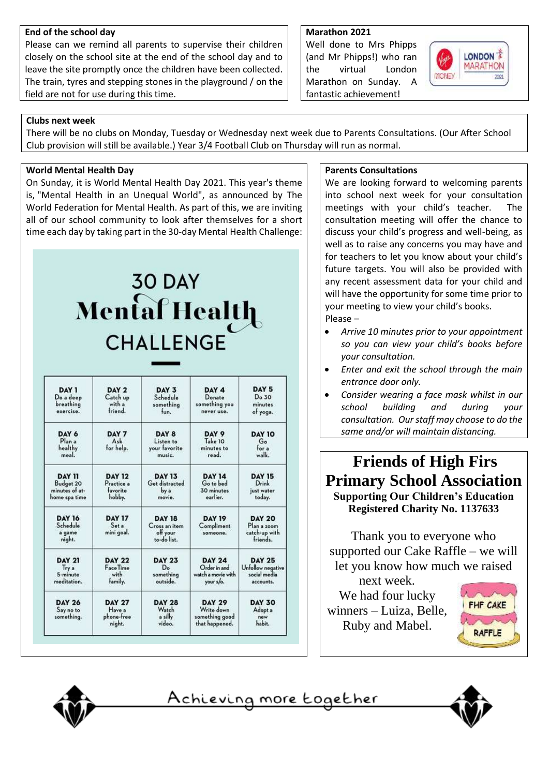#### **End of the school day**

Please can we remind all parents to supervise their children closely on the school site at the end of the school day and to leave the site promptly once the children have been collected. The train, tyres and stepping stones in the playground / on the field are not for use during this time.

#### **Marathon 2021**

Well done to Mrs Phipps (and Mr Phipps!) who ran the virtual London Marathon on Sunday. A fantastic achievement!



#### **Clubs next week**

There will be no clubs on Monday, Tuesday or Wednesday next week due to Parents Consultations. (Our After School Club provision will still be available.) Year 3/4 Football Club on Thursday will run as normal.

#### **World Mental Health Day**

On Sunday, it is World Mental Health Day 2021. This year's theme is, "Mental Health in an Unequal World", as announced by The World Federation for Mental Health. As part of this, we are inviting all of our school community to look after themselves for a short time each day by taking part in the 30-day Mental Health Challenge:

## **30 DAY** Mental Health **CHALLENGE**

| DAY 1                                         | DAY 2                                           | DAY 3                                                     | DAY 4                                                           | DAY 5                                                     |
|-----------------------------------------------|-------------------------------------------------|-----------------------------------------------------------|-----------------------------------------------------------------|-----------------------------------------------------------|
| Do a deep                                     | Catch up                                        | Schedule                                                  | Donate                                                          | Do 30                                                     |
| breathing                                     | with a                                          | something                                                 | something you                                                   | minutes                                                   |
| exercise.                                     | friend.                                         | fun.                                                      | never use.                                                      | of yoga.                                                  |
| DAY 6<br>Plan a<br>healthy<br>meal.           | DAY 7<br>Ask<br>for help.                       | DAY 8<br>Listen to<br>your favorite<br>music.             | DAY 9<br>Take 10<br>minutes to<br>read.                         | <b>DAY 10</b><br>Go<br>for a<br>walk.                     |
| <b>DAY 11</b>                                 | <b>DAY 12</b>                                   | <b>DAY 13</b>                                             | <b>DAY 14</b>                                                   | <b>DAY 15</b>                                             |
| Budget 20                                     | Practice a                                      | Get distracted                                            | Go to bed                                                       | Drink                                                     |
| minutes of at-                                | favorite                                        | by a                                                      | 30 minutes                                                      | just water                                                |
| home spa time                                 | hobby.                                          | movie.                                                    | earlier.                                                        | today.                                                    |
| <b>DAY 16</b><br>Schedule<br>a game<br>night. | <b>DAY 17</b><br>Set a<br>mini qoal.            | <b>DAY 18</b><br>Cross an item<br>off your<br>to-do list. | <b>DAY 19</b><br>Compliment<br>someone.                         | <b>DAY 20</b><br>Plan a zoom<br>catch-up with<br>friends. |
| <b>DAY 21</b>                                 | <b>DAY 22</b>                                   | <b>DAY 23</b>                                             | <b>DAY 24</b>                                                   | <b>DAY 25</b>                                             |
| Try a                                         | Face Time                                       | D <sub>o</sub>                                            | Order in and                                                    | Unfollow negative                                         |
| 5-minute                                      | with                                            | something                                                 | watch a movie with                                              | social media                                              |
| meditation.                                   | family.                                         | outside.                                                  | your s/o.                                                       | accounts.                                                 |
| <b>DAY 26</b><br>Say no to<br>something.      | <b>DAY 27</b><br>Have a<br>phone-free<br>night. | <b>DAY 28</b><br>Watch<br>a silly<br>video.               | <b>DAY 29</b><br>Write down<br>something good<br>that happened. | <b>DAY 30</b><br>Adopt a<br>new<br>habit.                 |

#### **Parents Consultations**

We are looking forward to welcoming parents into school next week for your consultation meetings with your child's teacher. The consultation meeting will offer the chance to discuss your child's progress and well-being, as well as to raise any concerns you may have and for teachers to let you know about your child's future targets. You will also be provided with any recent assessment data for your child and will have the opportunity for some time prior to your meeting to view your child's books. Please –

- *Arrive 10 minutes prior to your appointment so you can view your child's books before your consultation.*
- *Enter and exit the school through the main entrance door only.*
- *Consider wearing a face mask whilst in our school building and during your consultation. Our staff may choose to do the same and/or will maintain distancing.*

### **Friends of High Firs Primary School Association Supporting Our Children's Education Registered Charity No. 1137633**

Thank you to everyone who supported our Cake Raffle – we will let you know how much we raised

next week. We had four lucky winners – Luiza, Belle, Ruby and Mabel.





<u>Achieving more together</u>